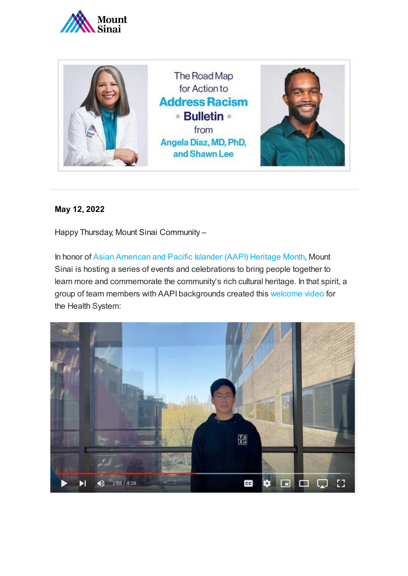



## **May 12, 2022**

Happy Thursday, Mount Sinai Community –

In honor of [Asian American and Pacific Islander \(AAPI\) Heritage Month,](https://americanhistory.si.edu/topics/asian-pacific-american-history/pages/heritage-month-2022?mc_cid=d7557879d3&mc_eid=a67e461d24) Mount Sinai is hosting a series of events and celebrations to bring people together to learn more and commemorate the community's rich cultural heritage. In that spirit, a group of team members with AAPI backgrounds created this [welcome video](https://youtu.be/BlFjni1h6sI) for the Health System:

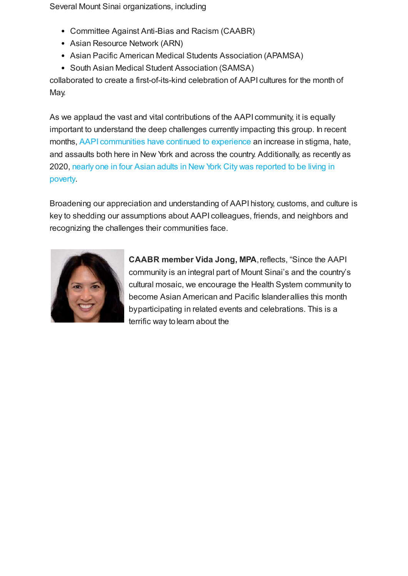Several Mount Sinai organizations, including

- Committee Against Anti-Bias and Racism (CAABR)
- Asian Resource Network (ARN)
- Asian Pacific American Medical Students Association (APAMSA)
- South Asian Medical Student Association (SAMSA)

collaborated to create a first-of-its-kind celebration of AAPI cultures for the month of May.

As we applaud the vast and vital contributions of the AAPI community, it is equally important to understand the deep challenges currently impacting this group. In recent months, [AAPI communities have continued to experience](https://www1.nyc.gov/assets/doh/downloads/pdf/episrv/asian-pacific-islander-health-2021.pdf) an increase in stigma, hate, and assaults both here in New York and across the country. Additionally, as recently as 2020, [nearly one in four Asian adults in New York City was reported to be living in](https://gothamist.com/news/nearly-one-in-four-asian-adults-in-nyc-lived-in-poverty-in-2020-report) poverty.

Broadening our appreciation and understanding of AAPI history, customs, and culture is key to shedding our assumptions about AAPI colleagues, friends, and neighbors and recognizing the challenges their communities face.



**CAABR member Vida Jong, MPA**, reflects, "Since the AAPI community is an integral part of Mount Sinai's and the country's cultural mosaic, we encourage the Health System community to become Asian American and Pacific Islander allies this month by participating in related events and celebrations. This is a terrific way to learn about the